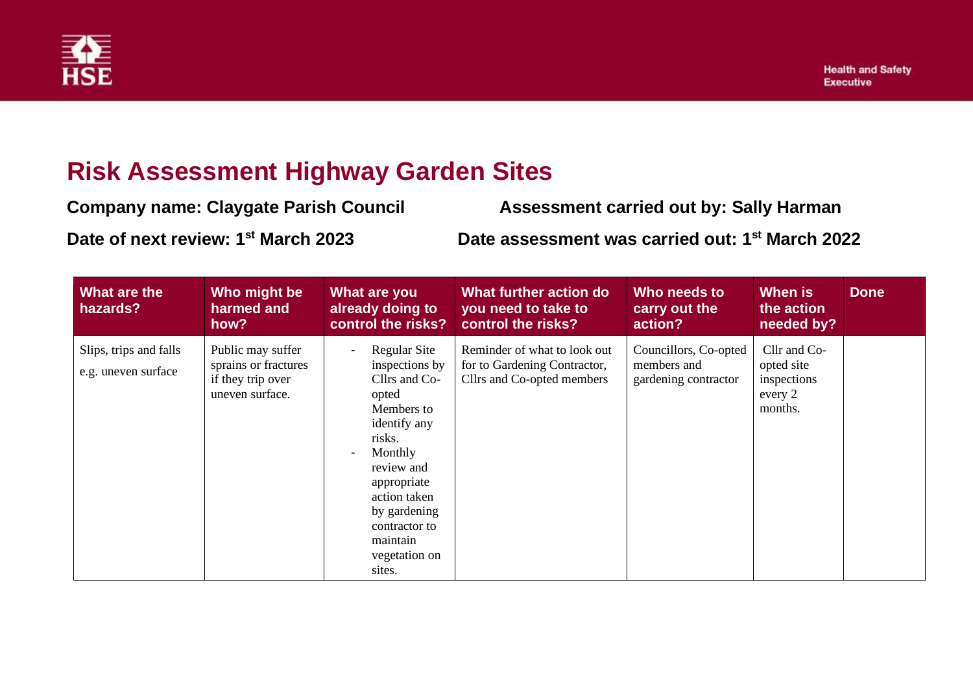

## **Risk Assessment Highway Garden Sites**

| <b>Company name: Claygate Parish Council</b>    | <b>Assessment carried out by: Sally Harman</b>              |
|-------------------------------------------------|-------------------------------------------------------------|
| Date of next review: 1 <sup>st</sup> March 2023 | Date assessment was carried out: 1 <sup>st</sup> March 2022 |

| What are the<br>hazards?                      | Who might be<br>harmed and<br>how?                                                | What are you<br>already doing to<br>control the risks?                                                                                                                                                                                             | What further action do<br>you need to take to<br>control the risks?                        | Who needs to<br>carry out the<br>action?                     | When is<br>the action<br>needed by?                             | <b>Done</b> |
|-----------------------------------------------|-----------------------------------------------------------------------------------|----------------------------------------------------------------------------------------------------------------------------------------------------------------------------------------------------------------------------------------------------|--------------------------------------------------------------------------------------------|--------------------------------------------------------------|-----------------------------------------------------------------|-------------|
| Slips, trips and falls<br>e.g. uneven surface | Public may suffer<br>sprains or fractures<br>if they trip over<br>uneven surface. | Regular Site<br>$\blacksquare$<br>inspections by<br>Cllrs and Co-<br>opted<br>Members to<br>identify any<br>risks.<br>Monthly<br>review and<br>appropriate<br>action taken<br>by gardening<br>contractor to<br>maintain<br>vegetation on<br>sites. | Reminder of what to look out<br>for to Gardening Contractor,<br>Cllrs and Co-opted members | Councillors, Co-opted<br>members and<br>gardening contractor | Cllr and Co-<br>opted site<br>inspections<br>every 2<br>months. |             |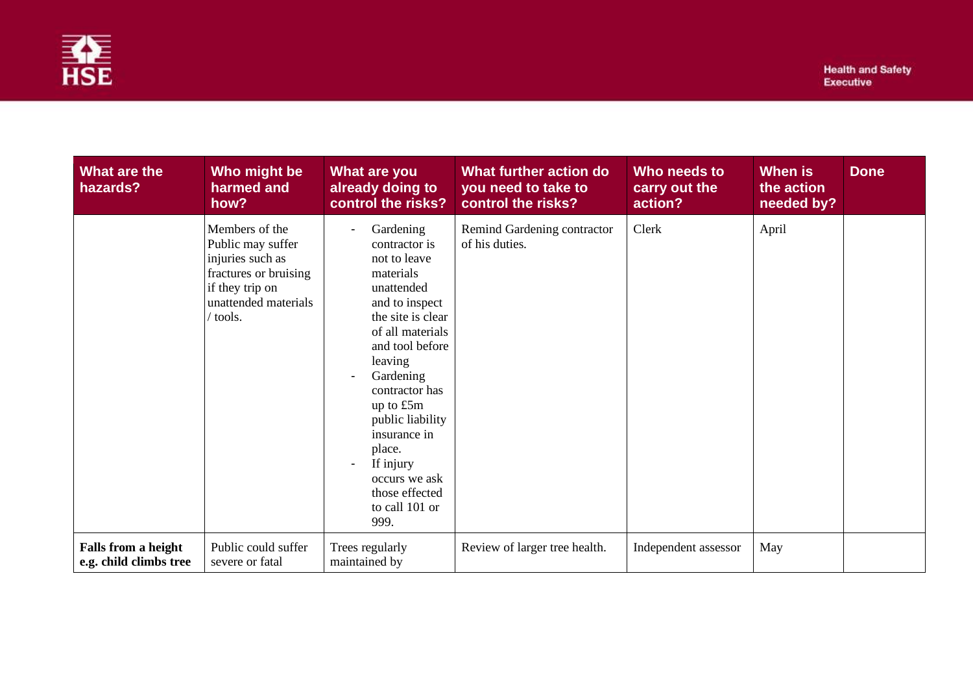

| What are the<br>hazards?                             | Who might be<br>harmed and<br>how?                                                                                                      | What are you<br>already doing to<br>control the risks?                                                                                                                                                                                                                                                                                                                                       | What further action do<br>you need to take to<br>control the risks? | Who needs to<br>carry out the<br>action? | When is<br>the action<br>needed by? | <b>Done</b> |
|------------------------------------------------------|-----------------------------------------------------------------------------------------------------------------------------------------|----------------------------------------------------------------------------------------------------------------------------------------------------------------------------------------------------------------------------------------------------------------------------------------------------------------------------------------------------------------------------------------------|---------------------------------------------------------------------|------------------------------------------|-------------------------------------|-------------|
|                                                      | Members of the<br>Public may suffer<br>injuries such as<br>fractures or bruising<br>if they trip on<br>unattended materials<br>/ tools. | Gardening<br>$\overline{\phantom{a}}$<br>contractor is<br>not to leave<br>materials<br>unattended<br>and to inspect<br>the site is clear<br>of all materials<br>and tool before<br>leaving<br>Gardening<br>$\overline{\phantom{a}}$<br>contractor has<br>up to $£5m$<br>public liability<br>insurance in<br>place.<br>If injury<br>occurs we ask<br>those effected<br>to call 101 or<br>999. | Remind Gardening contractor<br>of his duties.                       | Clerk                                    | April                               |             |
| <b>Falls from a height</b><br>e.g. child climbs tree | Public could suffer<br>severe or fatal                                                                                                  | Trees regularly<br>maintained by                                                                                                                                                                                                                                                                                                                                                             | Review of larger tree health.                                       | Independent assessor                     | May                                 |             |